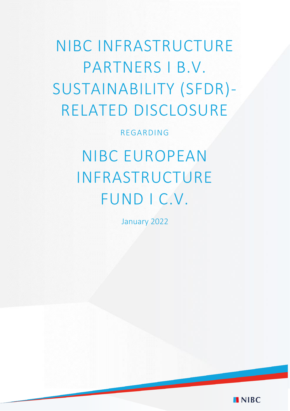NIBC INFRASTRUCTURE PARTNERS I B.V. SUSTAINABILITY (SFDR)- RELATED DISCLOSURE

REGARDING

NIBC EUROPEAN INFRASTRUCTURE FUND I C.V.

January 2022

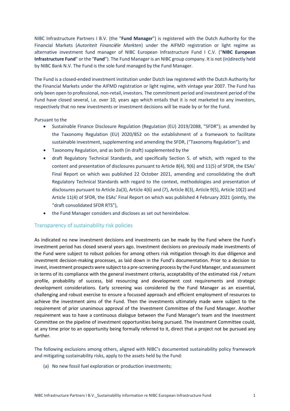NIBC Infrastructure Partners I B.V. (the "**Fund Manager**") is registered with the Dutch Authority for the Financial Markets (*Autoriteit Financiële Markten*) under the AIFMD registration or light regime as alternative investment fund manager of NIBC European Infrastructure Fund I C.V. ("**NIBC European Infrastructure Fund**" or the "**Fund**"). The Fund Manager is an NIBC group company. It is not (in)directly held by NIBC Bank N.V. The Fund is the sole fund managed by the Fund Manager.

The Fund is a closed-ended investment institution under Dutch law registered with the Dutch Authority for the Financial Markets under the AIFMD registration or light regime, with vintage year 2007. The Fund has only been open to professional, non-retail, investors. The commitment period and investment period of the Fund have closed several, i.e. over 10, years ago which entails that it is not marketed to any investors, respectively that no new investments or investment decisions will be made by or for the Fund.

## Pursuant to the

- Sustainable Finance Disclosure Regulation (Regulation (EU) 2019/2088, "SFDR"); as amended by the Taxonomy Regulation (EU) 2020/852 on the establishment of a framework to facilitate sustainable investment, supplementing and amending the SFDR, ("Taxonomy Regulation"); and
- Taxonomy Regulation, and as both (in draft) supplemented by the
- draft Regulatory Technical Standards, and specifically Section 5. of which, with regard to the content and presentation of disclosures pursuant to Article 8(4), 9(6) and 11(5) of SFDR, the ESAs' Final Report on which was published 22 October 2021, amending and consolidating the draft Regulatory Technical Standards with regard to the context, methodologies and presentation of disclosures pursuant to Article 2a(3), Article 4(6) and (7), Article 8(3), Article 9(5), Article 10(2) and Article 11(4) of SFDR, the ESAs' Final Report on which was published 4 February 2021 (jointly, the "draft consolidated SFDR RTS"),
- the Fund Manager considers and discloses as set out hereinbelow.

## Transparency of sustainability risk policies

As indicated no new investment decisions and investments can be made by the Fund where the Fund's investment period has closed several years ago. Investment decisions on previously made investments of the Fund were subject to robust policies for among others risk mitigation through its due diligence and investment decision-making processes, as laid down in the Fund's documentation. Prior to a decision to invest, investment prospects were subject to a pre-screening process by the Fund Manager, and assessment in terms of its compliance with the general investment criteria, acceptability of the estimated risk / return profile, probability of success, bid resourcing and development cost requirements and strategic development considerations. Early screening was considered by the Fund Manager as an essential, challenging and robust exercise to ensure a focussed approach and efficient employment of resources to achieve the investment aims of the Fund. Then the investments ultimately made were subject to the requirement of prior unanimous approval of the Investment Committee of the Fund Manager. Another requirement was to have a continuous dialogue between the Fund Manager's team and the Investment Committee on the pipeline of investment opportunities being pursued. The Investment Committee could, at any time prior to an opportunity being formally referred to it, direct that a project not be pursued any further.

The following exclusions among others, aligned with NIBC's documented sustainability policy framework and mitigating sustainability risks, apply to the assets held by the Fund:

(a) No new fossil fuel exploration or production investments;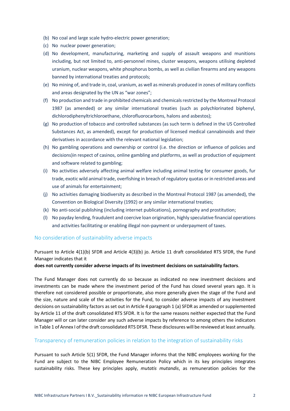- (b) No coal and large scale hydro-electric power generation;
- (c) No nuclear power generation;
- (d) No development, manufacturing, marketing and supply of assault weapons and munitions including, but not limited to, anti-personnel mines, cluster weapons, weapons utilising depleted uranium, nuclear weapons, white phosphorus bombs, as well as civilian firearms and any weapons banned by international treaties and protocols;
- (e) No mining of, and trade in, coal, uranium, as well as minerals produced in zones of military conflicts and areas designated by the UN as "war zones";
- (f) No production and trade in prohibited chemicals and chemicals restricted by the Montreal Protocol 1987 (as amended) or any similar international treaties (such as polychlorinated biphenyl, dichlorodiphenyltrichloroethane, chlorofluorocarbons, halons and asbestos);
- (g) No production of tobacco and controlled substances (as such term is defined in the US Controlled Substances Act, as amended), except for production of licensed medical cannabinoids and their derivatives in accordance with the relevant national legislation;
- (h) No gambling operations and ownership or control (i.e. the direction or influence of policies and decisions)in respect of casinos, online gambling and platforms, as well as production of equipment and software related to gambling;
- (i) No activities adversely affecting animal welfare including animal testing for consumer goods, fur trade, exotic wild animal trade, overfishing in breach of regulatory quotas or in restricted areas and use of animals for entertainment;
- (j) No activities damaging biodiversity as described in the Montreal Protocol 1987 (as amended), the Convention on Biological Diversity (1992) or any similar international treaties;
- (k) No anti-social publishing (including internet publications), pornography and prostitution;
- (l) No payday lending, fraudulent and coercive loan origination, highly speculative financial operations and activities facilitating or enabling illegal non-payment or underpayment of taxes.

## No consideration of sustainability adverse impacts

Pursuant to Article 4(1)(b) SFDR and Article 4(3)(b) jo. Article 11 draft consolidated RTS SFDR, the Fund Manager indicates that it

#### **does not currently consider adverse impacts of its investment decisions on sustainability factors**.

The Fund Manager does not currently do so because as indicated no new investment decisions and investments can be made where the investment period of the Fund has closed several years ago. It is therefore not considered possible or proportionate, also more generally given the stage of the Fund and the size, nature and scale of the activities for the Fund, to consider adverse impacts of any investment decisions on sustainability factors as set out in Article 4 paragraph 1 (a) SFDR as amended or supplemented by Article 11 of the draft consolidated RTS SFDR. It is for the same reasons neither expected that the Fund Manager will or can later consider any such adverse impacts by reference to among others the indicators in Table 1 of Annex I of the draft consolidated RTS DFSR. These disclosures will be reviewed at least annually.

### Transparency of remuneration policies in relation to the integration of sustainability risks

Pursuant to such Article 5(1) SFDR, the Fund Manager informs that the NIBC employees working for the Fund are subject to the NIBC Employee Remuneration Policy which in its key principles integrates sustainability risks. These key principles apply, *mutatis mutandis*, as remuneration policies for the